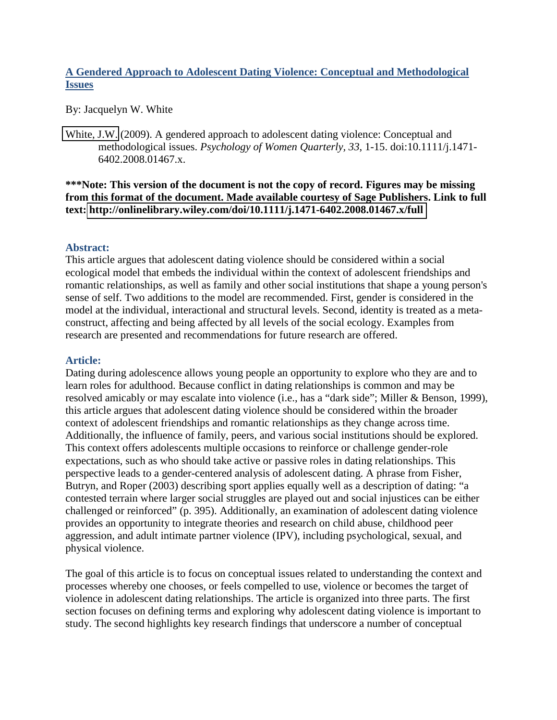# **A Gendered Approach to Adolescent Dating Violence: Conceptual and Methodological Issues**

By: Jacquelyn W. White

[White, J.W.](http://libres.uncg.edu/ir/clist.aspx?id=475) (2009). A gendered approach to adolescent dating violence: Conceptual and methodological issues. *Psychology of Women Quarterly, 33*, 1-15. doi:10.1111/j.1471- 6402.2008.01467.x.

# **\*\*\*Note: This version of the document is not the copy of record. Figures may be missing from this format of the document. Made available courtesy of Sage Publishers. Link to full text:<http://onlinelibrary.wiley.com/doi/10.1111/j.1471-6402.2008.01467.x/full>**

# **Abstract:**

This article argues that adolescent dating violence should be considered within a social ecological model that embeds the individual within the context of adolescent friendships and romantic relationships, as well as family and other social institutions that shape a young person's sense of self. Two additions to the model are recommended. First, gender is considered in the model at the individual, interactional and structural levels. Second, identity is treated as a metaconstruct, affecting and being affected by all levels of the social ecology. Examples from research are presented and recommendations for future research are offered.

# **Article:**

Dating during adolescence allows young people an opportunity to explore who they are and to learn roles for adulthood. Because conflict in dating relationships is common and may be resolved amicably or may escalate into violence (i.e., has a "dark side"; Miller & Benson, 1999), this article argues that adolescent dating violence should be considered within the broader context of adolescent friendships and romantic relationships as they change across time. Additionally, the influence of family, peers, and various social institutions should be explored. This context offers adolescents multiple occasions to reinforce or challenge gender-role expectations, such as who should take active or passive roles in dating relationships. This perspective leads to a gender-centered analysis of adolescent dating. A phrase from Fisher, Butryn, and Roper (2003) describing sport applies equally well as a description of dating: "a contested terrain where larger social struggles are played out and social injustices can be either challenged or reinforced" (p. 395). Additionally, an examination of adolescent dating violence provides an opportunity to integrate theories and research on child abuse, childhood peer aggression, and adult intimate partner violence (IPV), including psychological, sexual, and physical violence.

The goal of this article is to focus on conceptual issues related to understanding the context and processes whereby one chooses, or feels compelled to use, violence or becomes the target of violence in adolescent dating relationships. The article is organized into three parts. The first section focuses on defining terms and exploring why adolescent dating violence is important to study. The second highlights key research findings that underscore a number of conceptual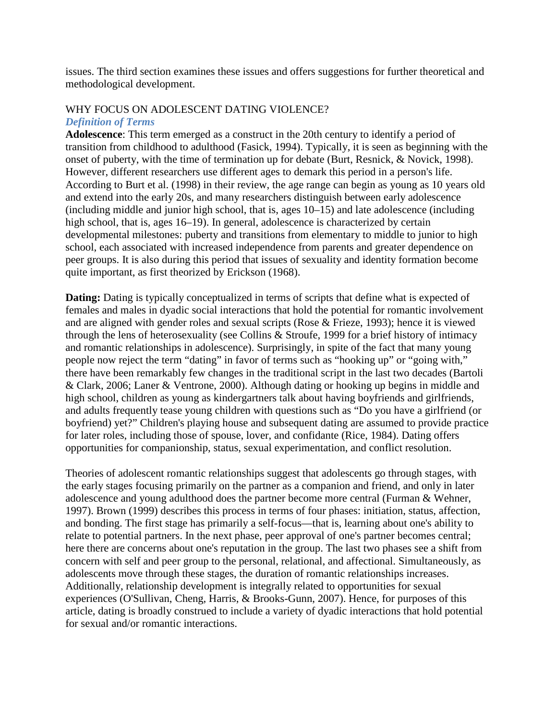issues. The third section examines these issues and offers suggestions for further theoretical and methodological development.

# WHY FOCUS ON ADOLESCENT DATING VIOLENCE? *Definition of Terms*

**Adolescence**: This term emerged as a construct in the 20th century to identify a period of transition from childhood to adulthood (Fasick, 1994). Typically, it is seen as beginning with the onset of puberty, with the time of termination up for debate (Burt, Resnick, & Novick, 1998). However, different researchers use different ages to demark this period in a person's life. According to Burt et al. (1998) in their review, the age range can begin as young as 10 years old and extend into the early 20s, and many researchers distinguish between early adolescence (including middle and junior high school, that is, ages 10–15) and late adolescence (including high school, that is, ages 16–19). In general, adolescence is characterized by certain developmental milestones: puberty and transitions from elementary to middle to junior to high school, each associated with increased independence from parents and greater dependence on peer groups. It is also during this period that issues of sexuality and identity formation become quite important, as first theorized by Erickson (1968).

**Dating:** Dating is typically conceptualized in terms of scripts that define what is expected of females and males in dyadic social interactions that hold the potential for romantic involvement and are aligned with gender roles and sexual scripts (Rose & Frieze, 1993); hence it is viewed through the lens of heterosexuality (see Collins & Stroufe, 1999 for a brief history of intimacy and romantic relationships in adolescence). Surprisingly, in spite of the fact that many young people now reject the term "dating" in favor of terms such as "hooking up" or "going with," there have been remarkably few changes in the traditional script in the last two decades (Bartoli & Clark, 2006; Laner & Ventrone, 2000). Although dating or hooking up begins in middle and high school, children as young as kindergartners talk about having boyfriends and girlfriends, and adults frequently tease young children with questions such as "Do you have a girlfriend (or boyfriend) yet?" Children's playing house and subsequent dating are assumed to provide practice for later roles, including those of spouse, lover, and confidante (Rice, 1984). Dating offers opportunities for companionship, status, sexual experimentation, and conflict resolution.

Theories of adolescent romantic relationships suggest that adolescents go through stages, with the early stages focusing primarily on the partner as a companion and friend, and only in later adolescence and young adulthood does the partner become more central (Furman & Wehner, 1997). Brown (1999) describes this process in terms of four phases: initiation, status, affection, and bonding. The first stage has primarily a self-focus—that is, learning about one's ability to relate to potential partners. In the next phase, peer approval of one's partner becomes central; here there are concerns about one's reputation in the group. The last two phases see a shift from concern with self and peer group to the personal, relational, and affectional. Simultaneously, as adolescents move through these stages, the duration of romantic relationships increases. Additionally, relationship development is integrally related to opportunities for sexual experiences (O'Sullivan, Cheng, Harris, & Brooks-Gunn, 2007). Hence, for purposes of this article, dating is broadly construed to include a variety of dyadic interactions that hold potential for sexual and/or romantic interactions.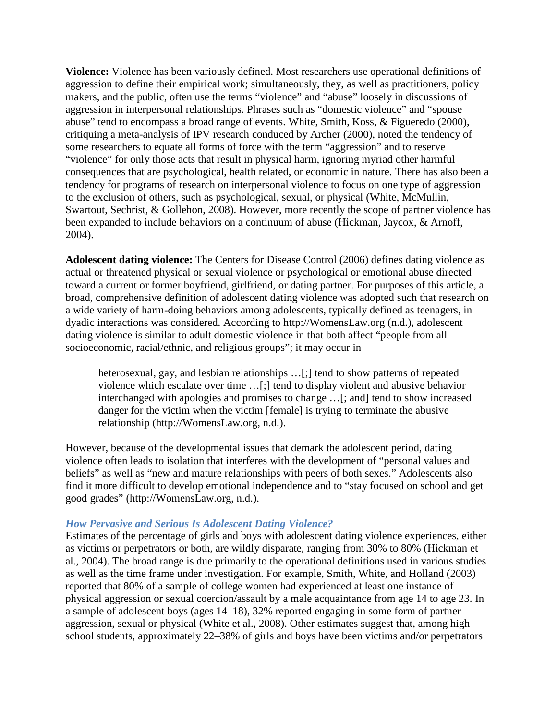**Violence:** Violence has been variously defined. Most researchers use operational definitions of aggression to define their empirical work; simultaneously, they, as well as practitioners, policy makers, and the public, often use the terms "violence" and "abuse" loosely in discussions of aggression in interpersonal relationships. Phrases such as "domestic violence" and "spouse abuse" tend to encompass a broad range of events. White, Smith, Koss, & Figueredo (2000), critiquing a meta-analysis of IPV research conduced by Archer (2000), noted the tendency of some researchers to equate all forms of force with the term "aggression" and to reserve "violence" for only those acts that result in physical harm, ignoring myriad other harmful consequences that are psychological, health related, or economic in nature. There has also been a tendency for programs of research on interpersonal violence to focus on one type of aggression to the exclusion of others, such as psychological, sexual, or physical (White, McMullin, Swartout, Sechrist, & Gollehon, 2008). However, more recently the scope of partner violence has been expanded to include behaviors on a continuum of abuse (Hickman, Jaycox, & Arnoff, 2004).

**Adolescent dating violence:** The Centers for Disease Control (2006) defines dating violence as actual or threatened physical or sexual violence or psychological or emotional abuse directed toward a current or former boyfriend, girlfriend, or dating partner. For purposes of this article, a broad, comprehensive definition of adolescent dating violence was adopted such that research on a wide variety of harm-doing behaviors among adolescents, typically defined as teenagers, in dyadic interactions was considered. According to http://WomensLaw.org (n.d.), adolescent dating violence is similar to adult domestic violence in that both affect "people from all socioeconomic, racial/ethnic, and religious groups"; it may occur in

heterosexual, gay, and lesbian relationships …[;] tend to show patterns of repeated violence which escalate over time …[;] tend to display violent and abusive behavior interchanged with apologies and promises to change …[; and] tend to show increased danger for the victim when the victim [female] is trying to terminate the abusive relationship (http://WomensLaw.org, n.d.).

However, because of the developmental issues that demark the adolescent period, dating violence often leads to isolation that interferes with the development of "personal values and beliefs" as well as "new and mature relationships with peers of both sexes." Adolescents also find it more difficult to develop emotional independence and to "stay focused on school and get good grades" (http://WomensLaw.org, n.d.).

#### *How Pervasive and Serious Is Adolescent Dating Violence?*

Estimates of the percentage of girls and boys with adolescent dating violence experiences, either as victims or perpetrators or both, are wildly disparate, ranging from 30% to 80% (Hickman et al., 2004). The broad range is due primarily to the operational definitions used in various studies as well as the time frame under investigation. For example, Smith, White, and Holland (2003) reported that 80% of a sample of college women had experienced at least one instance of physical aggression or sexual coercion/assault by a male acquaintance from age 14 to age 23. In a sample of adolescent boys (ages 14–18), 32% reported engaging in some form of partner aggression, sexual or physical (White et al., 2008). Other estimates suggest that, among high school students, approximately 22–38% of girls and boys have been victims and/or perpetrators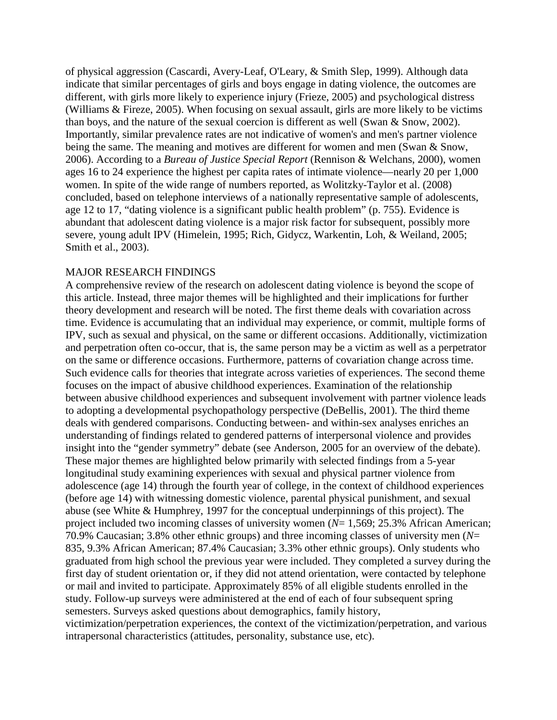of physical aggression (Cascardi, Avery-Leaf, O'Leary, & Smith Slep, 1999). Although data indicate that similar percentages of girls and boys engage in dating violence, the outcomes are different, with girls more likely to experience injury (Frieze, 2005) and psychological distress (Williams & Fireze, 2005). When focusing on sexual assault, girls are more likely to be victims than boys, and the nature of the sexual coercion is different as well (Swan & Snow, 2002). Importantly, similar prevalence rates are not indicative of women's and men's partner violence being the same. The meaning and motives are different for women and men (Swan & Snow, 2006). According to a *Bureau of Justice Special Report* (Rennison & Welchans, 2000), women ages 16 to 24 experience the highest per capita rates of intimate violence—nearly 20 per 1,000 women. In spite of the wide range of numbers reported, as Wolitzky-Taylor et al. (2008) concluded, based on telephone interviews of a nationally representative sample of adolescents, age 12 to 17, "dating violence is a significant public health problem" (p. 755). Evidence is abundant that adolescent dating violence is a major risk factor for subsequent, possibly more severe, young adult IPV (Himelein, 1995; Rich, Gidycz, Warkentin, Loh, & Weiland, 2005; Smith et al., 2003).

#### MAJOR RESEARCH FINDINGS

A comprehensive review of the research on adolescent dating violence is beyond the scope of this article. Instead, three major themes will be highlighted and their implications for further theory development and research will be noted. The first theme deals with covariation across time. Evidence is accumulating that an individual may experience, or commit, multiple forms of IPV, such as sexual and physical, on the same or different occasions. Additionally, victimization and perpetration often co-occur, that is, the same person may be a victim as well as a perpetrator on the same or difference occasions. Furthermore, patterns of covariation change across time. Such evidence calls for theories that integrate across varieties of experiences. The second theme focuses on the impact of abusive childhood experiences. Examination of the relationship between abusive childhood experiences and subsequent involvement with partner violence leads to adopting a developmental psychopathology perspective (DeBellis, 2001). The third theme deals with gendered comparisons. Conducting between- and within-sex analyses enriches an understanding of findings related to gendered patterns of interpersonal violence and provides insight into the "gender symmetry" debate (see Anderson, 2005 for an overview of the debate). These major themes are highlighted below primarily with selected findings from a 5-year longitudinal study examining experiences with sexual and physical partner violence from adolescence (age 14) through the fourth year of college, in the context of childhood experiences (before age 14) with witnessing domestic violence, parental physical punishment, and sexual abuse (see White & Humphrey, 1997 for the conceptual underpinnings of this project). The project included two incoming classes of university women (*N*= 1,569; 25.3% African American; 70.9% Caucasian; 3.8% other ethnic groups) and three incoming classes of university men (*N*= 835, 9.3% African American; 87.4% Caucasian; 3.3% other ethnic groups). Only students who graduated from high school the previous year were included. They completed a survey during the first day of student orientation or, if they did not attend orientation, were contacted by telephone or mail and invited to participate. Approximately 85% of all eligible students enrolled in the study. Follow-up surveys were administered at the end of each of four subsequent spring semesters. Surveys asked questions about demographics, family history, victimization/perpetration experiences, the context of the victimization/perpetration, and various intrapersonal characteristics (attitudes, personality, substance use, etc).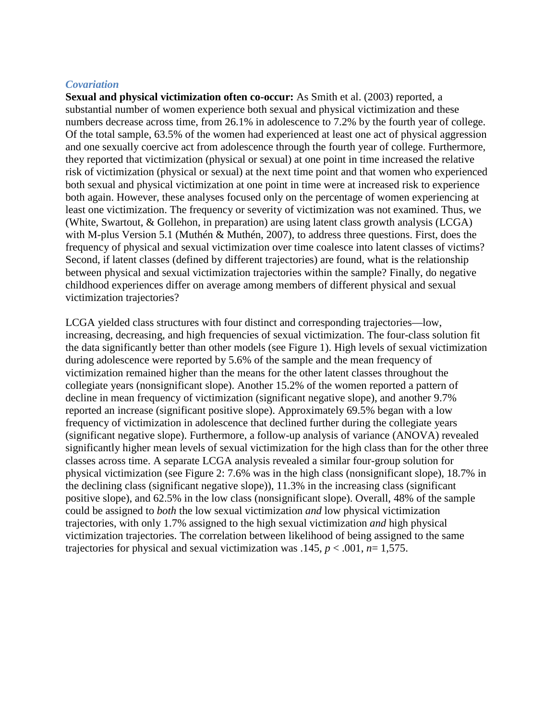#### *Covariation*

**Sexual and physical victimization often co-occur:** As Smith et al. (2003) reported, a substantial number of women experience both sexual and physical victimization and these numbers decrease across time, from 26.1% in adolescence to 7.2% by the fourth year of college. Of the total sample, 63.5% of the women had experienced at least one act of physical aggression and one sexually coercive act from adolescence through the fourth year of college. Furthermore, they reported that victimization (physical or sexual) at one point in time increased the relative risk of victimization (physical or sexual) at the next time point and that women who experienced both sexual and physical victimization at one point in time were at increased risk to experience both again. However, these analyses focused only on the percentage of women experiencing at least one victimization. The frequency or severity of victimization was not examined. Thus, we (White, Swartout, & Gollehon, in preparation) are using latent class growth analysis (LCGA) with M-plus Version 5.1 (Muthén & Muthén, 2007), to address three questions. First, does the frequency of physical and sexual victimization over time coalesce into latent classes of victims? Second, if latent classes (defined by different trajectories) are found, what is the relationship between physical and sexual victimization trajectories within the sample? Finally, do negative childhood experiences differ on average among members of different physical and sexual victimization trajectories?

LCGA yielded class structures with four distinct and corresponding trajectories—low, increasing, decreasing, and high frequencies of sexual victimization. The four-class solution fit the data significantly better than other models (see Figure 1). High levels of sexual victimization during adolescence were reported by 5.6% of the sample and the mean frequency of victimization remained higher than the means for the other latent classes throughout the collegiate years (nonsignificant slope). Another 15.2% of the women reported a pattern of decline in mean frequency of victimization (significant negative slope), and another 9.7% reported an increase (significant positive slope). Approximately 69.5% began with a low frequency of victimization in adolescence that declined further during the collegiate years (significant negative slope). Furthermore, a follow-up analysis of variance (ANOVA) revealed significantly higher mean levels of sexual victimization for the high class than for the other three classes across time. A separate LCGA analysis revealed a similar four-group solution for physical victimization (see Figure 2: 7.6% was in the high class (nonsignificant slope), 18.7% in the declining class (significant negative slope)), 11.3% in the increasing class (significant positive slope), and 62.5% in the low class (nonsignificant slope). Overall, 48% of the sample could be assigned to *both* the low sexual victimization *and* low physical victimization trajectories, with only 1.7% assigned to the high sexual victimization *and* high physical victimization trajectories. The correlation between likelihood of being assigned to the same trajectories for physical and sexual victimization was  $.145$ ,  $p < .001$ ,  $n = 1,575$ .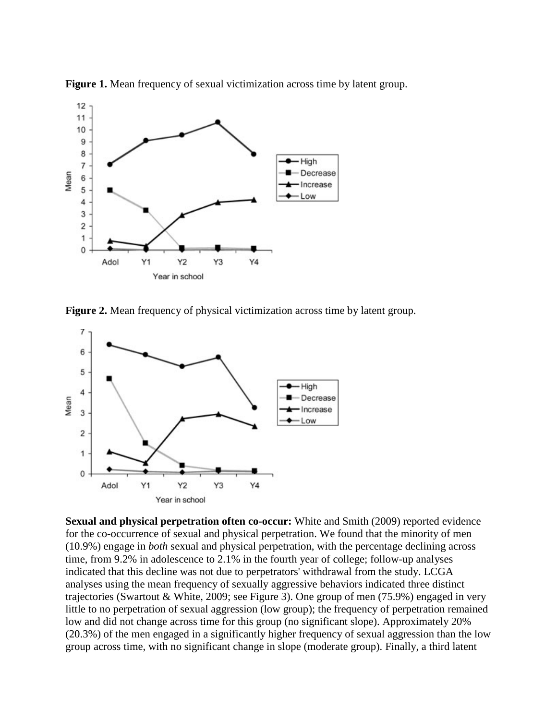

**Figure 1.** Mean frequency of sexual victimization across time by latent group.

**Figure 2.** Mean frequency of physical victimization across time by latent group.



**Sexual and physical perpetration often co-occur:** White and Smith (2009) reported evidence for the co-occurrence of sexual and physical perpetration. We found that the minority of men (10.9%) engage in *both* sexual and physical perpetration, with the percentage declining across time, from 9.2% in adolescence to 2.1% in the fourth year of college; follow-up analyses indicated that this decline was not due to perpetrators' withdrawal from the study. LCGA analyses using the mean frequency of sexually aggressive behaviors indicated three distinct trajectories (Swartout & White, 2009; see Figure 3). One group of men (75.9%) engaged in very little to no perpetration of sexual aggression (low group); the frequency of perpetration remained low and did not change across time for this group (no significant slope). Approximately 20% (20.3%) of the men engaged in a significantly higher frequency of sexual aggression than the low group across time, with no significant change in slope (moderate group). Finally, a third latent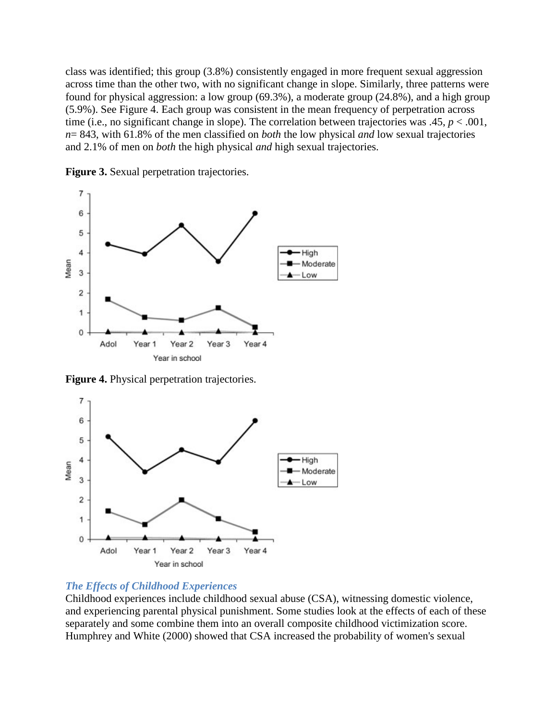class was identified; this group (3.8%) consistently engaged in more frequent sexual aggression across time than the other two, with no significant change in slope. Similarly, three patterns were found for physical aggression: a low group (69.3%), a moderate group (24.8%), and a high group (5.9%). See Figure 4. Each group was consistent in the mean frequency of perpetration across time (i.e., no significant change in slope). The correlation between trajectories was  $.45, p < .001$ , *n*= 843, with 61.8% of the men classified on *both* the low physical *and* low sexual trajectories and 2.1% of men on *both* the high physical *and* high sexual trajectories.

**Figure 3.** Sexual perpetration trajectories.



**Figure 4.** Physical perpetration trajectories.



# *The Effects of Childhood Experiences*

Childhood experiences include childhood sexual abuse (CSA), witnessing domestic violence, and experiencing parental physical punishment. Some studies look at the effects of each of these separately and some combine them into an overall composite childhood victimization score. Humphrey and White (2000) showed that CSA increased the probability of women's sexual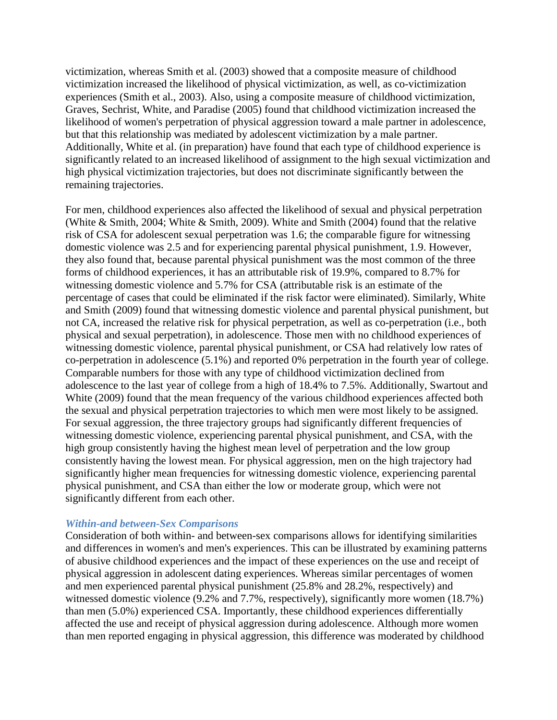victimization, whereas Smith et al. (2003) showed that a composite measure of childhood victimization increased the likelihood of physical victimization, as well, as co-victimization experiences (Smith et al., 2003). Also, using a composite measure of childhood victimization, Graves, Sechrist, White, and Paradise (2005) found that childhood victimization increased the likelihood of women's perpetration of physical aggression toward a male partner in adolescence, but that this relationship was mediated by adolescent victimization by a male partner. Additionally, White et al. (in preparation) have found that each type of childhood experience is significantly related to an increased likelihood of assignment to the high sexual victimization and high physical victimization trajectories, but does not discriminate significantly between the remaining trajectories.

For men, childhood experiences also affected the likelihood of sexual and physical perpetration (White & Smith, 2004; White & Smith, 2009). White and Smith (2004) found that the relative risk of CSA for adolescent sexual perpetration was 1.6; the comparable figure for witnessing domestic violence was 2.5 and for experiencing parental physical punishment, 1.9. However, they also found that, because parental physical punishment was the most common of the three forms of childhood experiences, it has an attributable risk of 19.9%, compared to 8.7% for witnessing domestic violence and 5.7% for CSA (attributable risk is an estimate of the percentage of cases that could be eliminated if the risk factor were eliminated). Similarly, White and Smith (2009) found that witnessing domestic violence and parental physical punishment, but not CA, increased the relative risk for physical perpetration, as well as co-perpetration (i.e., both physical and sexual perpetration), in adolescence. Those men with no childhood experiences of witnessing domestic violence, parental physical punishment, or CSA had relatively low rates of co-perpetration in adolescence (5.1%) and reported 0% perpetration in the fourth year of college. Comparable numbers for those with any type of childhood victimization declined from adolescence to the last year of college from a high of 18.4% to 7.5%. Additionally, Swartout and White (2009) found that the mean frequency of the various childhood experiences affected both the sexual and physical perpetration trajectories to which men were most likely to be assigned. For sexual aggression, the three trajectory groups had significantly different frequencies of witnessing domestic violence, experiencing parental physical punishment, and CSA, with the high group consistently having the highest mean level of perpetration and the low group consistently having the lowest mean. For physical aggression, men on the high trajectory had significantly higher mean frequencies for witnessing domestic violence, experiencing parental physical punishment, and CSA than either the low or moderate group, which were not significantly different from each other.

#### *Within-and between-Sex Comparisons*

Consideration of both within- and between-sex comparisons allows for identifying similarities and differences in women's and men's experiences. This can be illustrated by examining patterns of abusive childhood experiences and the impact of these experiences on the use and receipt of physical aggression in adolescent dating experiences. Whereas similar percentages of women and men experienced parental physical punishment (25.8% and 28.2%, respectively) and witnessed domestic violence (9.2% and 7.7%, respectively), significantly more women (18.7%) than men (5.0%) experienced CSA. Importantly, these childhood experiences differentially affected the use and receipt of physical aggression during adolescence. Although more women than men reported engaging in physical aggression, this difference was moderated by childhood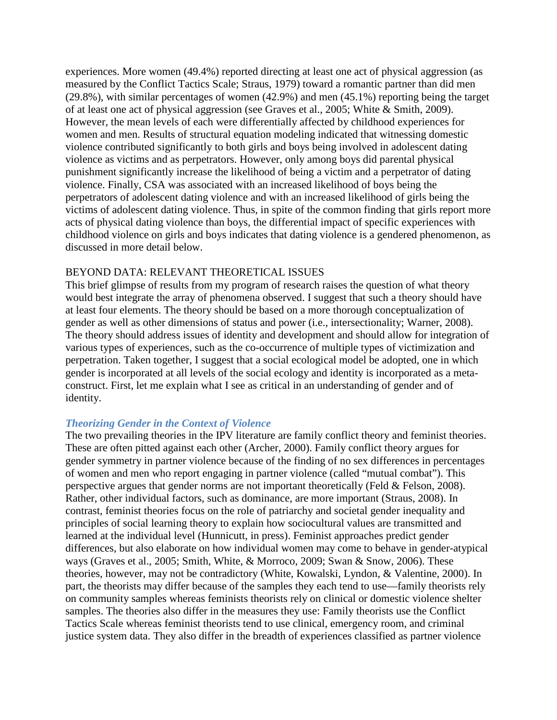experiences. More women (49.4%) reported directing at least one act of physical aggression (as measured by the Conflict Tactics Scale; Straus, 1979) toward a romantic partner than did men (29.8%), with similar percentages of women (42.9%) and men (45.1%) reporting being the target of at least one act of physical aggression (see Graves et al., 2005; White & Smith, 2009). However, the mean levels of each were differentially affected by childhood experiences for women and men. Results of structural equation modeling indicated that witnessing domestic violence contributed significantly to both girls and boys being involved in adolescent dating violence as victims and as perpetrators. However, only among boys did parental physical punishment significantly increase the likelihood of being a victim and a perpetrator of dating violence. Finally, CSA was associated with an increased likelihood of boys being the perpetrators of adolescent dating violence and with an increased likelihood of girls being the victims of adolescent dating violence. Thus, in spite of the common finding that girls report more acts of physical dating violence than boys, the differential impact of specific experiences with childhood violence on girls and boys indicates that dating violence is a gendered phenomenon, as discussed in more detail below.

### BEYOND DATA: RELEVANT THEORETICAL ISSUES

This brief glimpse of results from my program of research raises the question of what theory would best integrate the array of phenomena observed. I suggest that such a theory should have at least four elements. The theory should be based on a more thorough conceptualization of gender as well as other dimensions of status and power (i.e., intersectionality; Warner, 2008). The theory should address issues of identity and development and should allow for integration of various types of experiences, such as the co-occurrence of multiple types of victimization and perpetration. Taken together, I suggest that a social ecological model be adopted, one in which gender is incorporated at all levels of the social ecology and identity is incorporated as a metaconstruct. First, let me explain what I see as critical in an understanding of gender and of identity.

# *Theorizing Gender in the Context of Violence*

The two prevailing theories in the IPV literature are family conflict theory and feminist theories. These are often pitted against each other (Archer, 2000). Family conflict theory argues for gender symmetry in partner violence because of the finding of no sex differences in percentages of women and men who report engaging in partner violence (called "mutual combat"). This perspective argues that gender norms are not important theoretically (Feld & Felson, 2008). Rather, other individual factors, such as dominance, are more important (Straus, 2008). In contrast, feminist theories focus on the role of patriarchy and societal gender inequality and principles of social learning theory to explain how sociocultural values are transmitted and learned at the individual level (Hunnicutt, in press). Feminist approaches predict gender differences, but also elaborate on how individual women may come to behave in gender-atypical ways (Graves et al., 2005; Smith, White, & Morroco, 2009; Swan & Snow, 2006). These theories, however, may not be contradictory (White, Kowalski, Lyndon, & Valentine, 2000). In part, the theorists may differ because of the samples they each tend to use—family theorists rely on community samples whereas feminists theorists rely on clinical or domestic violence shelter samples. The theories also differ in the measures they use: Family theorists use the Conflict Tactics Scale whereas feminist theorists tend to use clinical, emergency room, and criminal justice system data. They also differ in the breadth of experiences classified as partner violence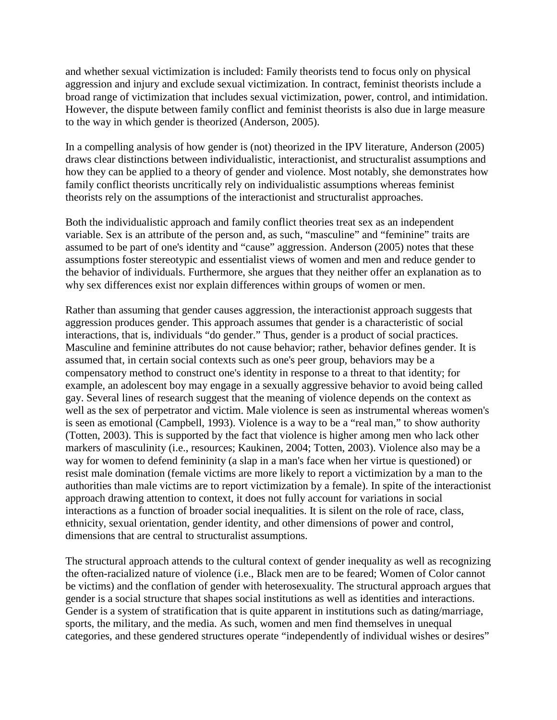and whether sexual victimization is included: Family theorists tend to focus only on physical aggression and injury and exclude sexual victimization. In contract, feminist theorists include a broad range of victimization that includes sexual victimization, power, control, and intimidation. However, the dispute between family conflict and feminist theorists is also due in large measure to the way in which gender is theorized (Anderson, 2005).

In a compelling analysis of how gender is (not) theorized in the IPV literature, Anderson (2005) draws clear distinctions between individualistic, interactionist, and structuralist assumptions and how they can be applied to a theory of gender and violence. Most notably, she demonstrates how family conflict theorists uncritically rely on individualistic assumptions whereas feminist theorists rely on the assumptions of the interactionist and structuralist approaches.

Both the individualistic approach and family conflict theories treat sex as an independent variable. Sex is an attribute of the person and, as such, "masculine" and "feminine" traits are assumed to be part of one's identity and "cause" aggression. Anderson (2005) notes that these assumptions foster stereotypic and essentialist views of women and men and reduce gender to the behavior of individuals. Furthermore, she argues that they neither offer an explanation as to why sex differences exist nor explain differences within groups of women or men.

Rather than assuming that gender causes aggression, the interactionist approach suggests that aggression produces gender. This approach assumes that gender is a characteristic of social interactions, that is, individuals "do gender." Thus, gender is a product of social practices. Masculine and feminine attributes do not cause behavior; rather, behavior defines gender. It is assumed that, in certain social contexts such as one's peer group, behaviors may be a compensatory method to construct one's identity in response to a threat to that identity; for example, an adolescent boy may engage in a sexually aggressive behavior to avoid being called gay. Several lines of research suggest that the meaning of violence depends on the context as well as the sex of perpetrator and victim. Male violence is seen as instrumental whereas women's is seen as emotional (Campbell, 1993). Violence is a way to be a "real man," to show authority (Totten, 2003). This is supported by the fact that violence is higher among men who lack other markers of masculinity (i.e., resources; Kaukinen, 2004; Totten, 2003). Violence also may be a way for women to defend femininity (a slap in a man's face when her virtue is questioned) or resist male domination (female victims are more likely to report a victimization by a man to the authorities than male victims are to report victimization by a female). In spite of the interactionist approach drawing attention to context, it does not fully account for variations in social interactions as a function of broader social inequalities. It is silent on the role of race, class, ethnicity, sexual orientation, gender identity, and other dimensions of power and control, dimensions that are central to structuralist assumptions.

The structural approach attends to the cultural context of gender inequality as well as recognizing the often-racialized nature of violence (i.e., Black men are to be feared; Women of Color cannot be victims) and the conflation of gender with heterosexuality. The structural approach argues that gender is a social structure that shapes social institutions as well as identities and interactions. Gender is a system of stratification that is quite apparent in institutions such as dating/marriage, sports, the military, and the media. As such, women and men find themselves in unequal categories, and these gendered structures operate "independently of individual wishes or desires"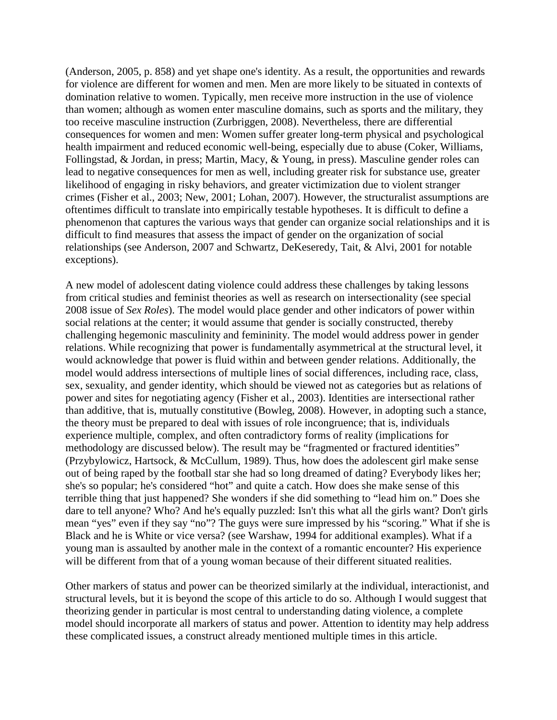(Anderson, 2005, p. 858) and yet shape one's identity. As a result, the opportunities and rewards for violence are different for women and men. Men are more likely to be situated in contexts of domination relative to women. Typically, men receive more instruction in the use of violence than women; although as women enter masculine domains, such as sports and the military, they too receive masculine instruction (Zurbriggen, 2008). Nevertheless, there are differential consequences for women and men: Women suffer greater long-term physical and psychological health impairment and reduced economic well-being, especially due to abuse (Coker, Williams, Follingstad, & Jordan, in press; Martin, Macy, & Young, in press). Masculine gender roles can lead to negative consequences for men as well, including greater risk for substance use, greater likelihood of engaging in risky behaviors, and greater victimization due to violent stranger crimes (Fisher et al., 2003; New, 2001; Lohan, 2007). However, the structuralist assumptions are oftentimes difficult to translate into empirically testable hypotheses. It is difficult to define a phenomenon that captures the various ways that gender can organize social relationships and it is difficult to find measures that assess the impact of gender on the organization of social relationships (see Anderson, 2007 and Schwartz, DeKeseredy, Tait, & Alvi, 2001 for notable exceptions).

A new model of adolescent dating violence could address these challenges by taking lessons from critical studies and feminist theories as well as research on intersectionality (see special 2008 issue of *Sex Roles*). The model would place gender and other indicators of power within social relations at the center; it would assume that gender is socially constructed, thereby challenging hegemonic masculinity and femininity. The model would address power in gender relations. While recognizing that power is fundamentally asymmetrical at the structural level, it would acknowledge that power is fluid within and between gender relations. Additionally, the model would address intersections of multiple lines of social differences, including race, class, sex, sexuality, and gender identity, which should be viewed not as categories but as relations of power and sites for negotiating agency (Fisher et al., 2003). Identities are intersectional rather than additive, that is, mutually constitutive (Bowleg, 2008). However, in adopting such a stance, the theory must be prepared to deal with issues of role incongruence; that is, individuals experience multiple, complex, and often contradictory forms of reality (implications for methodology are discussed below). The result may be "fragmented or fractured identities" (Przybylowicz, Hartsock, & McCullum, 1989). Thus, how does the adolescent girl make sense out of being raped by the football star she had so long dreamed of dating? Everybody likes her; she's so popular; he's considered "hot" and quite a catch. How does she make sense of this terrible thing that just happened? She wonders if she did something to "lead him on." Does she dare to tell anyone? Who? And he's equally puzzled: Isn't this what all the girls want? Don't girls mean "yes" even if they say "no"? The guys were sure impressed by his "scoring." What if she is Black and he is White or vice versa? (see Warshaw, 1994 for additional examples). What if a young man is assaulted by another male in the context of a romantic encounter? His experience will be different from that of a young woman because of their different situated realities.

Other markers of status and power can be theorized similarly at the individual, interactionist, and structural levels, but it is beyond the scope of this article to do so. Although I would suggest that theorizing gender in particular is most central to understanding dating violence, a complete model should incorporate all markers of status and power. Attention to identity may help address these complicated issues, a construct already mentioned multiple times in this article.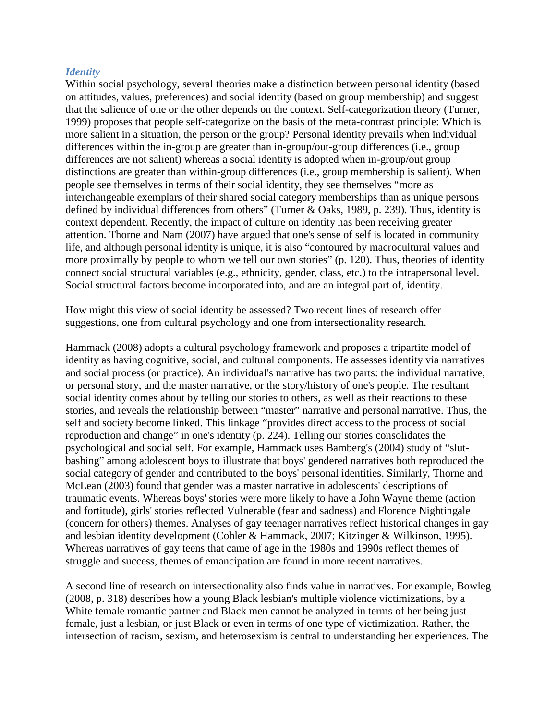### *Identity*

Within social psychology, several theories make a distinction between personal identity (based on attitudes, values, preferences) and social identity (based on group membership) and suggest that the salience of one or the other depends on the context. Self-categorization theory (Turner, 1999) proposes that people self-categorize on the basis of the meta-contrast principle: Which is more salient in a situation, the person or the group? Personal identity prevails when individual differences within the in-group are greater than in-group/out-group differences (i.e., group differences are not salient) whereas a social identity is adopted when in-group/out group distinctions are greater than within-group differences (i.e., group membership is salient). When people see themselves in terms of their social identity, they see themselves "more as interchangeable exemplars of their shared social category memberships than as unique persons defined by individual differences from others" (Turner & Oaks, 1989, p. 239). Thus, identity is context dependent. Recently, the impact of culture on identity has been receiving greater attention. Thorne and Nam (2007) have argued that one's sense of self is located in community life, and although personal identity is unique, it is also "contoured by macrocultural values and more proximally by people to whom we tell our own stories" (p. 120). Thus, theories of identity connect social structural variables (e.g., ethnicity, gender, class, etc.) to the intrapersonal level. Social structural factors become incorporated into, and are an integral part of, identity.

How might this view of social identity be assessed? Two recent lines of research offer suggestions, one from cultural psychology and one from intersectionality research.

Hammack (2008) adopts a cultural psychology framework and proposes a tripartite model of identity as having cognitive, social, and cultural components. He assesses identity via narratives and social process (or practice). An individual's narrative has two parts: the individual narrative, or personal story, and the master narrative, or the story/history of one's people. The resultant social identity comes about by telling our stories to others, as well as their reactions to these stories, and reveals the relationship between "master" narrative and personal narrative. Thus, the self and society become linked. This linkage "provides direct access to the process of social reproduction and change" in one's identity (p. 224). Telling our stories consolidates the psychological and social self. For example, Hammack uses Bamberg's (2004) study of "slutbashing" among adolescent boys to illustrate that boys' gendered narratives both reproduced the social category of gender and contributed to the boys' personal identities. Similarly, Thorne and McLean (2003) found that gender was a master narrative in adolescents' descriptions of traumatic events. Whereas boys' stories were more likely to have a John Wayne theme (action and fortitude), girls' stories reflected Vulnerable (fear and sadness) and Florence Nightingale (concern for others) themes. Analyses of gay teenager narratives reflect historical changes in gay and lesbian identity development (Cohler & Hammack, 2007; Kitzinger & Wilkinson, 1995). Whereas narratives of gay teens that came of age in the 1980s and 1990s reflect themes of struggle and success, themes of emancipation are found in more recent narratives.

A second line of research on intersectionality also finds value in narratives. For example, Bowleg (2008, p. 318) describes how a young Black lesbian's multiple violence victimizations, by a White female romantic partner and Black men cannot be analyzed in terms of her being just female, just a lesbian, or just Black or even in terms of one type of victimization. Rather, the intersection of racism, sexism, and heterosexism is central to understanding her experiences. The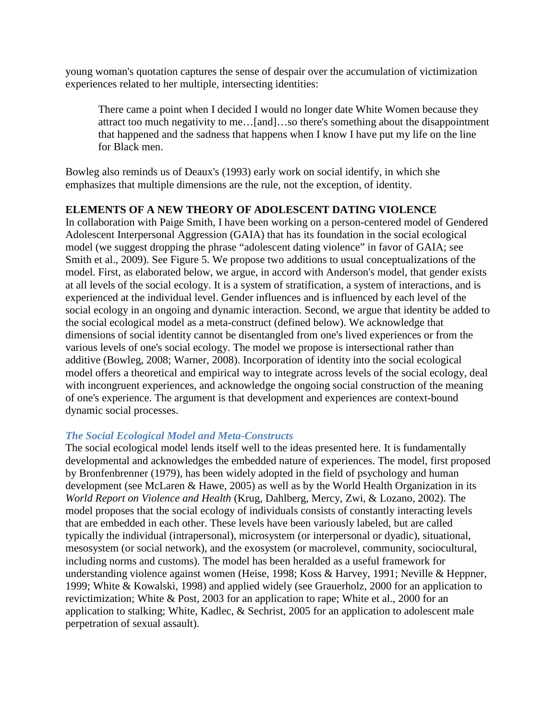young woman's quotation captures the sense of despair over the accumulation of victimization experiences related to her multiple, intersecting identities:

There came a point when I decided I would no longer date White Women because they attract too much negativity to me…[and]…so there's something about the disappointment that happened and the sadness that happens when I know I have put my life on the line for Black men.

Bowleg also reminds us of Deaux's (1993) early work on social identify, in which she emphasizes that multiple dimensions are the rule, not the exception, of identity.

# **ELEMENTS OF A NEW THEORY OF ADOLESCENT DATING VIOLENCE**

In collaboration with Paige Smith, I have been working on a person-centered model of Gendered Adolescent Interpersonal Aggression (GAIA) that has its foundation in the social ecological model (we suggest dropping the phrase "adolescent dating violence" in favor of GAIA; see Smith et al., 2009). See Figure 5. We propose two additions to usual conceptualizations of the model. First, as elaborated below, we argue, in accord with Anderson's model, that gender exists at all levels of the social ecology. It is a system of stratification, a system of interactions, and is experienced at the individual level. Gender influences and is influenced by each level of the social ecology in an ongoing and dynamic interaction. Second, we argue that identity be added to the social ecological model as a meta-construct (defined below). We acknowledge that dimensions of social identity cannot be disentangled from one's lived experiences or from the various levels of one's social ecology. The model we propose is intersectional rather than additive (Bowleg, 2008; Warner, 2008). Incorporation of identity into the social ecological model offers a theoretical and empirical way to integrate across levels of the social ecology, deal with incongruent experiences, and acknowledge the ongoing social construction of the meaning of one's experience. The argument is that development and experiences are context-bound dynamic social processes.

# *The Social Ecological Model and Meta-Constructs*

The social ecological model lends itself well to the ideas presented here. It is fundamentally developmental and acknowledges the embedded nature of experiences. The model, first proposed by Bronfenbrenner (1979), has been widely adopted in the field of psychology and human development (see McLaren & Hawe, 2005) as well as by the World Health Organization in its *World Report on Violence and Health* (Krug, Dahlberg, Mercy, Zwi, & Lozano, 2002). The model proposes that the social ecology of individuals consists of constantly interacting levels that are embedded in each other. These levels have been variously labeled, but are called typically the individual (intrapersonal), microsystem (or interpersonal or dyadic), situational, mesosystem (or social network), and the exosystem (or macrolevel, community, sociocultural, including norms and customs). The model has been heralded as a useful framework for understanding violence against women (Heise, 1998; Koss & Harvey, 1991; Neville & Heppner, 1999; White & Kowalski, 1998) and applied widely (see Grauerholz, 2000 for an application to revictimization; White & Post, 2003 for an application to rape; White et al., 2000 for an application to stalking; White, Kadlec, & Sechrist, 2005 for an application to adolescent male perpetration of sexual assault).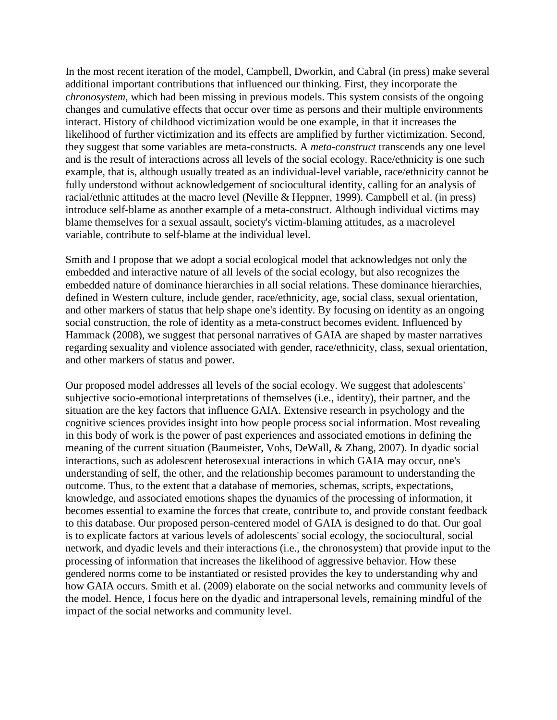In the most recent iteration of the model, Campbell, Dworkin, and Cabral (in press) make several additional important contributions that influenced our thinking. First, they incorporate the *chronosystem*, which had been missing in previous models. This system consists of the ongoing changes and cumulative effects that occur over time as persons and their multiple environments interact. History of childhood victimization would be one example, in that it increases the likelihood of further victimization and its effects are amplified by further victimization. Second, they suggest that some variables are meta-constructs. A *meta-construct* transcends any one level and is the result of interactions across all levels of the social ecology. Race/ethnicity is one such example, that is, although usually treated as an individual-level variable, race/ethnicity cannot be fully understood without acknowledgement of sociocultural identity, calling for an analysis of racial/ethnic attitudes at the macro level (Neville & Heppner, 1999). Campbell et al. (in press) introduce self-blame as another example of a meta-construct. Although individual victims may blame themselves for a sexual assault, society's victim-blaming attitudes, as a macrolevel variable, contribute to self-blame at the individual level.

Smith and I propose that we adopt a social ecological model that acknowledges not only the embedded and interactive nature of all levels of the social ecology, but also recognizes the embedded nature of dominance hierarchies in all social relations. These dominance hierarchies, defined in Western culture, include gender, race/ethnicity, age, social class, sexual orientation, and other markers of status that help shape one's identity. By focusing on identity as an ongoing social construction, the role of identity as a meta-construct becomes evident. Influenced by Hammack (2008), we suggest that personal narratives of GAIA are shaped by master narratives regarding sexuality and violence associated with gender, race/ethnicity, class, sexual orientation, and other markers of status and power.

Our proposed model addresses all levels of the social ecology. We suggest that adolescents' subjective socio-emotional interpretations of themselves (i.e., identity), their partner, and the situation are the key factors that influence GAIA. Extensive research in psychology and the cognitive sciences provides insight into how people process social information. Most revealing in this body of work is the power of past experiences and associated emotions in defining the meaning of the current situation (Baumeister, Vohs, DeWall, & Zhang, 2007). In dyadic social interactions, such as adolescent heterosexual interactions in which GAIA may occur, one's understanding of self, the other, and the relationship becomes paramount to understanding the outcome. Thus, to the extent that a database of memories, schemas, scripts, expectations, knowledge, and associated emotions shapes the dynamics of the processing of information, it becomes essential to examine the forces that create, contribute to, and provide constant feedback to this database. Our proposed person-centered model of GAIA is designed to do that. Our goal is to explicate factors at various levels of adolescents' social ecology, the sociocultural, social network, and dyadic levels and their interactions (i.e., the chronosystem) that provide input to the processing of information that increases the likelihood of aggressive behavior. How these gendered norms come to be instantiated or resisted provides the key to understanding why and how GAIA occurs. Smith et al. (2009) elaborate on the social networks and community levels of the model. Hence, I focus here on the dyadic and intrapersonal levels, remaining mindful of the impact of the social networks and community level.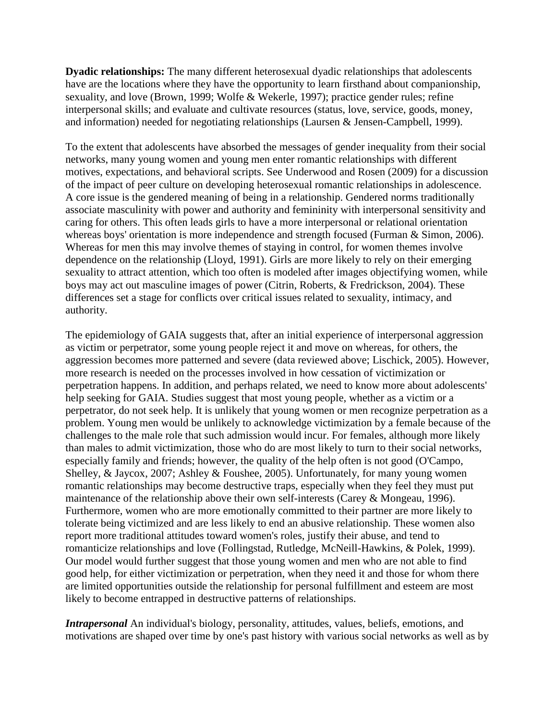**Dyadic relationships:** The many different heterosexual dyadic relationships that adolescents have are the locations where they have the opportunity to learn firsthand about companionship, sexuality, and love (Brown, 1999; Wolfe & Wekerle, 1997); practice gender rules; refine interpersonal skills; and evaluate and cultivate resources (status, love, service, goods, money, and information) needed for negotiating relationships (Laursen & Jensen-Campbell, 1999).

To the extent that adolescents have absorbed the messages of gender inequality from their social networks, many young women and young men enter romantic relationships with different motives, expectations, and behavioral scripts. See Underwood and Rosen (2009) for a discussion of the impact of peer culture on developing heterosexual romantic relationships in adolescence. A core issue is the gendered meaning of being in a relationship. Gendered norms traditionally associate masculinity with power and authority and femininity with interpersonal sensitivity and caring for others. This often leads girls to have a more interpersonal or relational orientation whereas boys' orientation is more independence and strength focused (Furman & Simon, 2006). Whereas for men this may involve themes of staying in control, for women themes involve dependence on the relationship (Lloyd, 1991). Girls are more likely to rely on their emerging sexuality to attract attention, which too often is modeled after images objectifying women, while boys may act out masculine images of power (Citrin, Roberts, & Fredrickson, 2004). These differences set a stage for conflicts over critical issues related to sexuality, intimacy, and authority.

The epidemiology of GAIA suggests that, after an initial experience of interpersonal aggression as victim or perpetrator, some young people reject it and move on whereas, for others, the aggression becomes more patterned and severe (data reviewed above; Lischick, 2005). However, more research is needed on the processes involved in how cessation of victimization or perpetration happens. In addition, and perhaps related, we need to know more about adolescents' help seeking for GAIA. Studies suggest that most young people, whether as a victim or a perpetrator, do not seek help. It is unlikely that young women or men recognize perpetration as a problem. Young men would be unlikely to acknowledge victimization by a female because of the challenges to the male role that such admission would incur. For females, although more likely than males to admit victimization, those who do are most likely to turn to their social networks, especially family and friends; however, the quality of the help often is not good (O'Campo, Shelley, & Jaycox, 2007; Ashley & Foushee, 2005). Unfortunately, for many young women romantic relationships may become destructive traps, especially when they feel they must put maintenance of the relationship above their own self-interests (Carey & Mongeau, 1996). Furthermore, women who are more emotionally committed to their partner are more likely to tolerate being victimized and are less likely to end an abusive relationship. These women also report more traditional attitudes toward women's roles, justify their abuse, and tend to romanticize relationships and love (Follingstad, Rutledge, McNeill-Hawkins, & Polek, 1999). Our model would further suggest that those young women and men who are not able to find good help, for either victimization or perpetration, when they need it and those for whom there are limited opportunities outside the relationship for personal fulfillment and esteem are most likely to become entrapped in destructive patterns of relationships.

*Intrapersonal* An individual's biology, personality, attitudes, values, beliefs, emotions, and motivations are shaped over time by one's past history with various social networks as well as by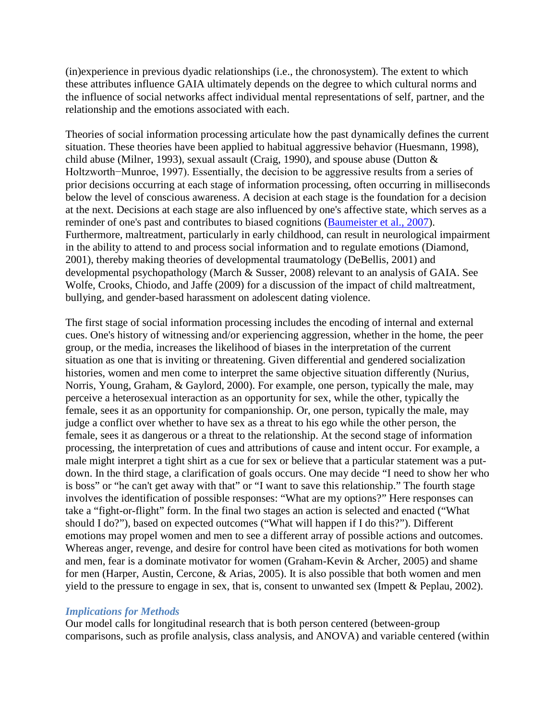(in)experience in previous dyadic relationships (i.e., the chronosystem). The extent to which these attributes influence GAIA ultimately depends on the degree to which cultural norms and the influence of social networks affect individual mental representations of self, partner, and the relationship and the emotions associated with each.

Theories of social information processing articulate how the past dynamically defines the current situation. These theories have been applied to habitual aggressive behavior (Huesmann, 1998), child abuse (Milner, 1993), sexual assault (Craig, 1990), and spouse abuse (Dutton & Holtzworth−Munroe, 1997). Essentially, the decision to be aggressive results from a series of prior decisions occurring at each stage of information processing, often occurring in milliseconds below the level of conscious awareness. A decision at each stage is the foundation for a decision at the next. Decisions at each stage are also influenced by one's affective state, which serves as a reminder of one's past and contributes to biased cognitions (Baumeister et al., 2007). Furthermore, maltreatment, particularly in early childhood, can result in neurological impairment in the ability to attend to and process social information and to regulate emotions (Diamond, 2001), thereby making theories of developmental traumatology (DeBellis, 2001) and developmental psychopathology (March & Susser, 2008) relevant to an analysis of GAIA. See Wolfe, Crooks, Chiodo, and Jaffe (2009) for a discussion of the impact of child maltreatment, bullying, and gender-based harassment on adolescent dating violence.

The first stage of social information processing includes the encoding of internal and external cues. One's history of witnessing and/or experiencing aggression, whether in the home, the peer group, or the media, increases the likelihood of biases in the interpretation of the current situation as one that is inviting or threatening. Given differential and gendered socialization histories, women and men come to interpret the same objective situation differently (Nurius, Norris, Young, Graham, & Gaylord, 2000). For example, one person, typically the male, may perceive a heterosexual interaction as an opportunity for sex, while the other, typically the female, sees it as an opportunity for companionship. Or, one person, typically the male, may judge a conflict over whether to have sex as a threat to his ego while the other person, the female, sees it as dangerous or a threat to the relationship. At the second stage of information processing, the interpretation of cues and attributions of cause and intent occur. For example, a male might interpret a tight shirt as a cue for sex or believe that a particular statement was a putdown. In the third stage, a clarification of goals occurs. One may decide "I need to show her who is boss" or "he can't get away with that" or "I want to save this relationship." The fourth stage involves the identification of possible responses: "What are my options?" Here responses can take a "fight-or-flight" form. In the final two stages an action is selected and enacted ("What should I do?"), based on expected outcomes ("What will happen if I do this?"). Different emotions may propel women and men to see a different array of possible actions and outcomes. Whereas anger, revenge, and desire for control have been cited as motivations for both women and men, fear is a dominate motivator for women (Graham-Kevin & Archer, 2005) and shame for men (Harper, Austin, Cercone, & Arias, 2005). It is also possible that both women and men yield to the pressure to engage in sex, that is, consent to unwanted sex (Impett & Peplau, 2002).

# *Implications for Methods*

Our model calls for longitudinal research that is both person centered (between-group comparisons, such as profile analysis, class analysis, and ANOVA) and variable centered (within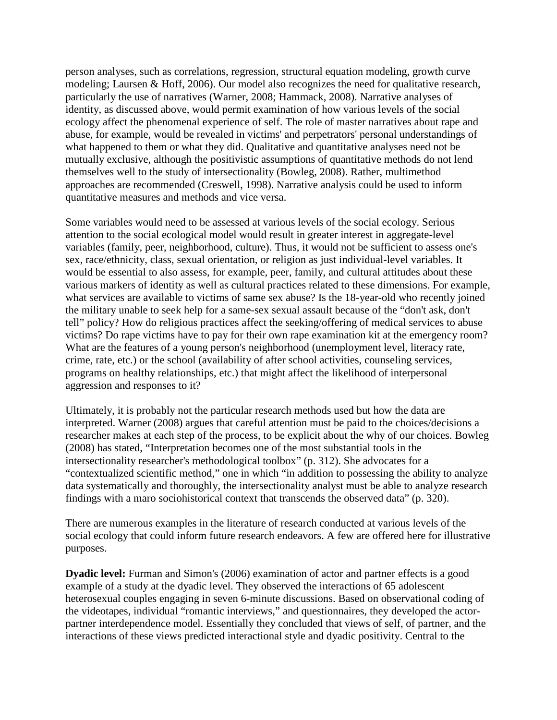person analyses, such as correlations, regression, structural equation modeling, growth curve modeling; Laursen & Hoff, 2006). Our model also recognizes the need for qualitative research, particularly the use of narratives (Warner, 2008; Hammack, 2008). Narrative analyses of identity, as discussed above, would permit examination of how various levels of the social ecology affect the phenomenal experience of self. The role of master narratives about rape and abuse, for example, would be revealed in victims' and perpetrators' personal understandings of what happened to them or what they did. Qualitative and quantitative analyses need not be mutually exclusive, although the positivistic assumptions of quantitative methods do not lend themselves well to the study of intersectionality (Bowleg, 2008). Rather, multimethod approaches are recommended (Creswell, 1998). Narrative analysis could be used to inform quantitative measures and methods and vice versa.

Some variables would need to be assessed at various levels of the social ecology. Serious attention to the social ecological model would result in greater interest in aggregate-level variables (family, peer, neighborhood, culture). Thus, it would not be sufficient to assess one's sex, race/ethnicity, class, sexual orientation, or religion as just individual-level variables. It would be essential to also assess, for example, peer, family, and cultural attitudes about these various markers of identity as well as cultural practices related to these dimensions. For example, what services are available to victims of same sex abuse? Is the 18-year-old who recently joined the military unable to seek help for a same-sex sexual assault because of the "don't ask, don't tell" policy? How do religious practices affect the seeking/offering of medical services to abuse victims? Do rape victims have to pay for their own rape examination kit at the emergency room? What are the features of a young person's neighborhood (unemployment level, literacy rate, crime, rate, etc.) or the school (availability of after school activities, counseling services, programs on healthy relationships, etc.) that might affect the likelihood of interpersonal aggression and responses to it?

Ultimately, it is probably not the particular research methods used but how the data are interpreted. Warner (2008) argues that careful attention must be paid to the choices/decisions a researcher makes at each step of the process, to be explicit about the why of our choices. Bowleg (2008) has stated, "Interpretation becomes one of the most substantial tools in the intersectionality researcher's methodological toolbox" (p. 312). She advocates for a "contextualized scientific method," one in which "in addition to possessing the ability to analyze data systematically and thoroughly, the intersectionality analyst must be able to analyze research findings with a maro sociohistorical context that transcends the observed data" (p. 320).

There are numerous examples in the literature of research conducted at various levels of the social ecology that could inform future research endeavors. A few are offered here for illustrative purposes.

**Dyadic level:** Furman and Simon's (2006) examination of actor and partner effects is a good example of a study at the dyadic level. They observed the interactions of 65 adolescent heterosexual couples engaging in seven 6-minute discussions. Based on observational coding of the videotapes, individual "romantic interviews," and questionnaires, they developed the actorpartner interdependence model. Essentially they concluded that views of self, of partner, and the interactions of these views predicted interactional style and dyadic positivity. Central to the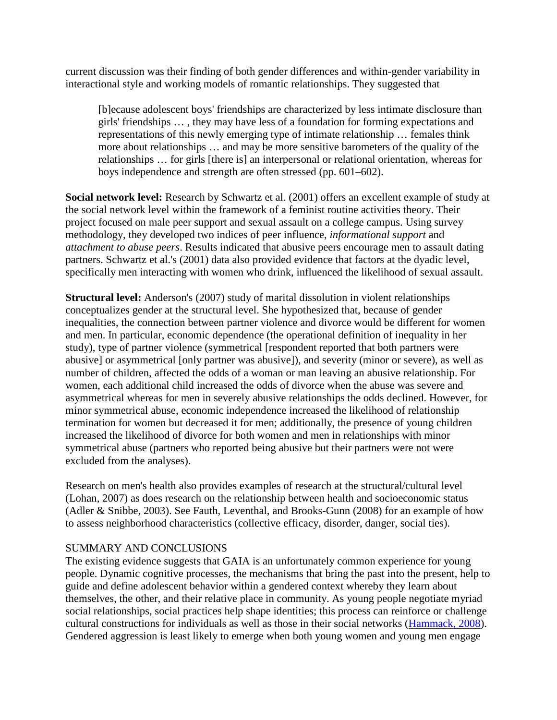current discussion was their finding of both gender differences and within-gender variability in interactional style and working models of romantic relationships. They suggested that

[b]ecause adolescent boys' friendships are characterized by less intimate disclosure than girls' friendships … , they may have less of a foundation for forming expectations and representations of this newly emerging type of intimate relationship … females think more about relationships … and may be more sensitive barometers of the quality of the relationships … for girls [there is] an interpersonal or relational orientation, whereas for boys independence and strength are often stressed (pp. 601–602).

**Social network level:** Research by Schwartz et al. (2001) offers an excellent example of study at the social network level within the framework of a feminist routine activities theory. Their project focused on male peer support and sexual assault on a college campus. Using survey methodology, they developed two indices of peer influence, *informational support* and *attachment to abuse peers*. Results indicated that abusive peers encourage men to assault dating partners. Schwartz et al.'s (2001) data also provided evidence that factors at the dyadic level, specifically men interacting with women who drink, influenced the likelihood of sexual assault.

**Structural level:** Anderson's (2007) study of marital dissolution in violent relationships conceptualizes gender at the structural level. She hypothesized that, because of gender inequalities, the connection between partner violence and divorce would be different for women and men. In particular, economic dependence (the operational definition of inequality in her study), type of partner violence (symmetrical [respondent reported that both partners were abusive] or asymmetrical [only partner was abusive]), and severity (minor or severe), as well as number of children, affected the odds of a woman or man leaving an abusive relationship. For women, each additional child increased the odds of divorce when the abuse was severe and asymmetrical whereas for men in severely abusive relationships the odds declined. However, for minor symmetrical abuse, economic independence increased the likelihood of relationship termination for women but decreased it for men; additionally, the presence of young children increased the likelihood of divorce for both women and men in relationships with minor symmetrical abuse (partners who reported being abusive but their partners were not were excluded from the analyses).

Research on men's health also provides examples of research at the structural/cultural level (Lohan, 2007) as does research on the relationship between health and socioeconomic status (Adler & Snibbe, 2003). See Fauth, Leventhal, and Brooks-Gunn (2008) for an example of how to assess neighborhood characteristics (collective efficacy, disorder, danger, social ties).

# SUMMARY AND CONCLUSIONS

The existing evidence suggests that GAIA is an unfortunately common experience for young people. Dynamic cognitive processes, the mechanisms that bring the past into the present, help to guide and define adolescent behavior within a gendered context whereby they learn about themselves, the other, and their relative place in community. As young people negotiate myriad social relationships, social practices help shape identities; this process can reinforce or challenge cultural constructions for individuals as well as those in their social networks (Hammack, 2008). Gendered aggression is least likely to emerge when both young women and young men engage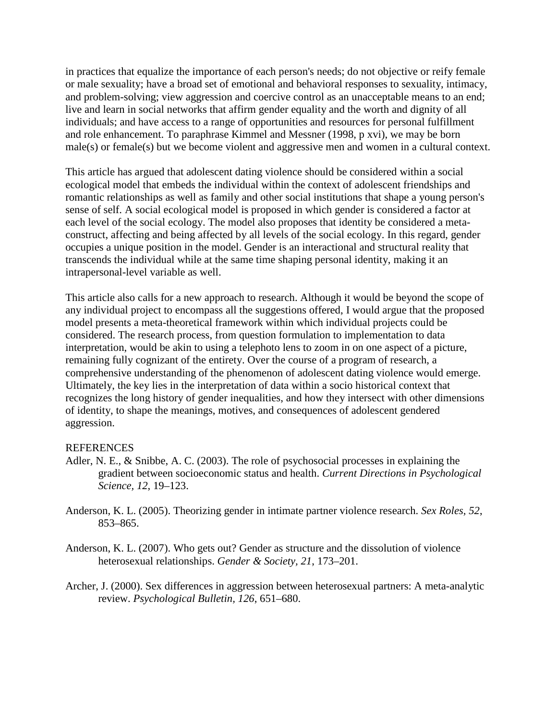in practices that equalize the importance of each person's needs; do not objective or reify female or male sexuality; have a broad set of emotional and behavioral responses to sexuality, intimacy, and problem-solving; view aggression and coercive control as an unacceptable means to an end; live and learn in social networks that affirm gender equality and the worth and dignity of all individuals; and have access to a range of opportunities and resources for personal fulfillment and role enhancement. To paraphrase Kimmel and Messner (1998, p xvi), we may be born male(s) or female(s) but we become violent and aggressive men and women in a cultural context.

This article has argued that adolescent dating violence should be considered within a social ecological model that embeds the individual within the context of adolescent friendships and romantic relationships as well as family and other social institutions that shape a young person's sense of self. A social ecological model is proposed in which gender is considered a factor at each level of the social ecology. The model also proposes that identity be considered a metaconstruct, affecting and being affected by all levels of the social ecology. In this regard, gender occupies a unique position in the model. Gender is an interactional and structural reality that transcends the individual while at the same time shaping personal identity, making it an intrapersonal-level variable as well.

This article also calls for a new approach to research. Although it would be beyond the scope of any individual project to encompass all the suggestions offered, I would argue that the proposed model presents a meta-theoretical framework within which individual projects could be considered. The research process, from question formulation to implementation to data interpretation, would be akin to using a telephoto lens to zoom in on one aspect of a picture, remaining fully cognizant of the entirety. Over the course of a program of research, a comprehensive understanding of the phenomenon of adolescent dating violence would emerge. Ultimately, the key lies in the interpretation of data within a socio historical context that recognizes the long history of gender inequalities, and how they intersect with other dimensions of identity, to shape the meanings, motives, and consequences of adolescent gendered aggression.

# REFERENCES

- Adler, N. E., & Snibbe, A. C. (2003). The role of psychosocial processes in explaining the gradient between socioeconomic status and health. *Current Directions in Psychological Science, 12*, 19–123.
- Anderson, K. L. (2005). Theorizing gender in intimate partner violence research. *Sex Roles, 52*, 853–865.
- Anderson, K. L. (2007). Who gets out? Gender as structure and the dissolution of violence heterosexual relationships. *Gender & Society, 21*, 173–201.
- Archer, J. (2000). Sex differences in aggression between heterosexual partners: A meta-analytic review. *Psychological Bulletin, 126*, 651–680.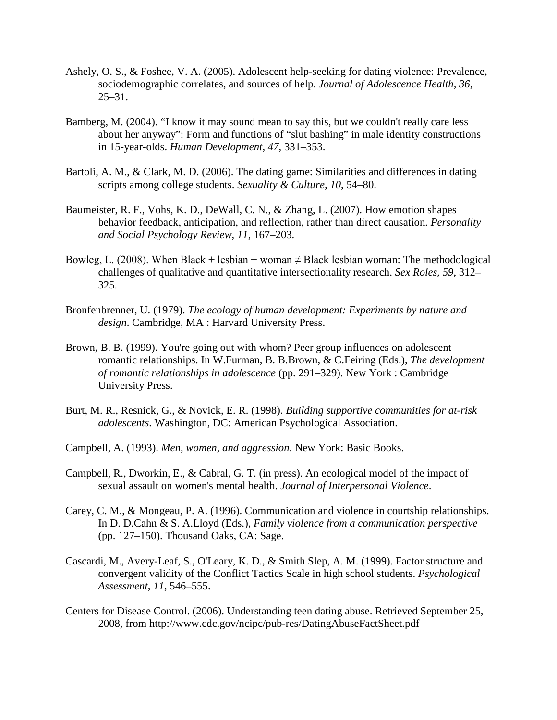- Ashely, O. S., & Foshee, V. A. (2005). Adolescent help-seeking for dating violence: Prevalence, sociodemographic correlates, and sources of help. *Journal of Adolescence Health, 36*,  $25 - 31$ .
- Bamberg, M. (2004). "I know it may sound mean to say this, but we couldn't really care less about her anyway": Form and functions of "slut bashing" in male identity constructions in 15-year-olds. *Human Development, 47*, 331–353.
- Bartoli, A. M., & Clark, M. D. (2006). The dating game: Similarities and differences in dating scripts among college students. *Sexuality & Culture, 10*, 54–80.
- Baumeister, R. F., Vohs, K. D., DeWall, C. N., & Zhang, L. (2007). How emotion shapes behavior feedback, anticipation, and reflection, rather than direct causation. *Personality and Social Psychology Review, 11*, 167–203.
- Bowleg, L. (2008). When Black + lesbian + woman  $\neq$  Black lesbian woman: The methodological challenges of qualitative and quantitative intersectionality research. *Sex Roles, 59*, 312– 325.
- Bronfenbrenner, U. (1979). *The ecology of human development: Experiments by nature and design*. Cambridge, MA : Harvard University Press.
- Brown, B. B. (1999). You're going out with whom? Peer group influences on adolescent romantic relationships. In W.Furman, B. B.Brown, & C.Feiring (Eds.), *The development of romantic relationships in adolescence* (pp. 291–329). New York : Cambridge University Press.
- Burt, M. R., Resnick, G., & Novick, E. R. (1998). *Building supportive communities for at-risk adolescents*. Washington, DC: American Psychological Association.
- Campbell, A. (1993). *Men, women, and aggression*. New York: Basic Books.
- Campbell, R., Dworkin, E., & Cabral, G. T. (in press). An ecological model of the impact of sexual assault on women's mental health. *Journal of Interpersonal Violence*.
- Carey, C. M., & Mongeau, P. A. (1996). Communication and violence in courtship relationships. In D. D.Cahn & S. A.Lloyd (Eds.), *Family violence from a communication perspective*  (pp. 127–150). Thousand Oaks, CA: Sage.
- Cascardi, M., Avery-Leaf, S., O'Leary, K. D., & Smith Slep, A. M. (1999). Factor structure and convergent validity of the Conflict Tactics Scale in high school students. *Psychological Assessment, 11*, 546–555.
- Centers for Disease Control. (2006). Understanding teen dating abuse. Retrieved September 25, 2008, from http://www.cdc.gov/ncipc/pub-res/DatingAbuseFactSheet.pdf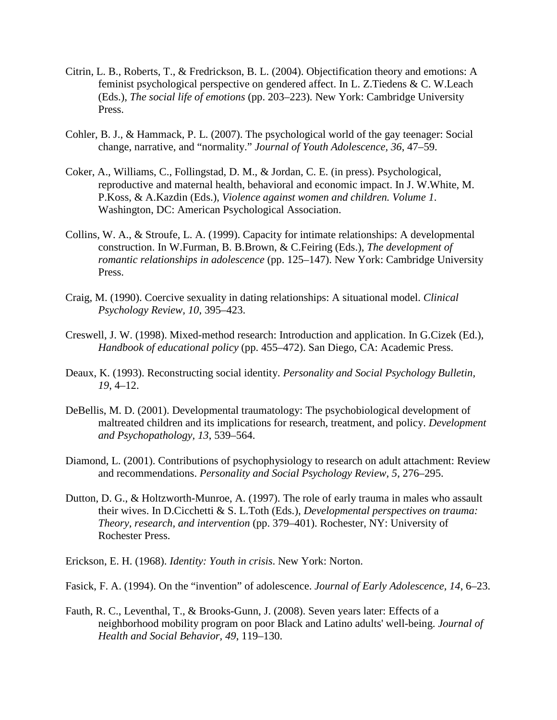- Citrin, L. B., Roberts, T., & Fredrickson, B. L. (2004). Objectification theory and emotions: A feminist psychological perspective on gendered affect. In L. Z.Tiedens & C. W.Leach (Eds.), *The social life of emotions* (pp. 203–223). New York: Cambridge University Press.
- Cohler, B. J., & Hammack, P. L. (2007). The psychological world of the gay teenager: Social change, narrative, and "normality." *Journal of Youth Adolescence, 36*, 47–59.
- Coker, A., Williams, C., Follingstad, D. M., & Jordan, C. E. (in press). Psychological, reproductive and maternal health, behavioral and economic impact. In J. W.White, M. P.Koss, & A.Kazdin (Eds.), *Violence against women and children. Volume 1*. Washington, DC: American Psychological Association.
- Collins, W. A., & Stroufe, L. A. (1999). Capacity for intimate relationships: A developmental construction. In W.Furman, B. B.Brown, & C.Feiring (Eds.), *The development of romantic relationships in adolescence* (pp. 125–147). New York: Cambridge University Press.
- Craig, M. (1990). Coercive sexuality in dating relationships: A situational model. *Clinical Psychology Review, 10*, 395–423.
- Creswell, J. W. (1998). Mixed-method research: Introduction and application. In G.Cizek (Ed.), *Handbook of educational policy* (pp. 455–472). San Diego, CA: Academic Press.
- Deaux, K. (1993). Reconstructing social identity. *Personality and Social Psychology Bulletin, 19*, 4–12.
- DeBellis, M. D. (2001). Developmental traumatology: The psychobiological development of maltreated children and its implications for research, treatment, and policy. *Development and Psychopathology, 13*, 539–564.
- Diamond, L. (2001). Contributions of psychophysiology to research on adult attachment: Review and recommendations. *Personality and Social Psychology Review, 5*, 276–295.
- Dutton, D. G., & Holtzworth-Munroe, A. (1997). The role of early trauma in males who assault their wives. In D.Cicchetti & S. L.Toth (Eds.), *Developmental perspectives on trauma: Theory, research, and intervention* (pp. 379–401). Rochester, NY: University of Rochester Press.
- Erickson, E. H. (1968). *Identity: Youth in crisis*. New York: Norton.
- Fasick, F. A. (1994). On the "invention" of adolescence. *Journal of Early Adolescence, 14*, 6–23.
- Fauth, R. C., Leventhal, T., & Brooks-Gunn, J. (2008). Seven years later: Effects of a neighborhood mobility program on poor Black and Latino adults' well-being. *Journal of Health and Social Behavior, 49*, 119–130.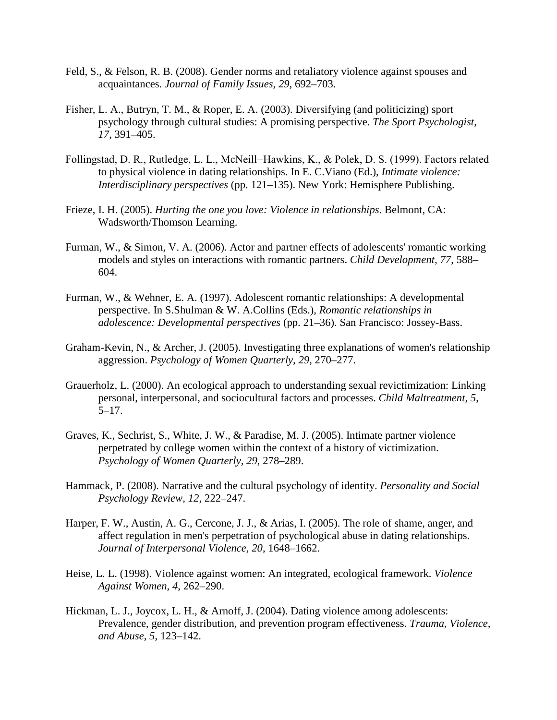- Feld, S., & Felson, R. B. (2008). Gender norms and retaliatory violence against spouses and acquaintances. *Journal of Family Issues, 29*, 692–703.
- Fisher, L. A., Butryn, T. M., & Roper, E. A. (2003). Diversifying (and politicizing) sport psychology through cultural studies: A promising perspective. *The Sport Psychologist, 17*, 391–405.
- Follingstad, D. R., Rutledge, L. L., McNeill−Hawkins, K., & Polek, D. S. (1999). Factors related to physical violence in dating relationships. In E. C.Viano (Ed.), *Intimate violence: Interdisciplinary perspectives* (pp. 121–135). New York: Hemisphere Publishing.
- Frieze, I. H. (2005). *Hurting the one you love: Violence in relationships*. Belmont, CA: Wadsworth/Thomson Learning.
- Furman, W., & Simon, V. A. (2006). Actor and partner effects of adolescents' romantic working models and styles on interactions with romantic partners. *Child Development, 77*, 588– 604.
- Furman, W., & Wehner, E. A. (1997). Adolescent romantic relationships: A developmental perspective. In S.Shulman & W. A.Collins (Eds.), *Romantic relationships in adolescence: Developmental perspectives* (pp. 21–36). San Francisco: Jossey-Bass.
- Graham-Kevin, N., & Archer, J. (2005). Investigating three explanations of women's relationship aggression. *Psychology of Women Quarterly, 29*, 270–277.
- Grauerholz, L. (2000). An ecological approach to understanding sexual revictimization: Linking personal, interpersonal, and sociocultural factors and processes. *Child Maltreatment, 5*,  $5 - 17$ .
- Graves, K., Sechrist, S., White, J. W., & Paradise, M. J. (2005). Intimate partner violence perpetrated by college women within the context of a history of victimization. *Psychology of Women Quarterly, 29*, 278–289.
- Hammack, P. (2008). Narrative and the cultural psychology of identity. *Personality and Social Psychology Review, 12*, 222–247.
- Harper, F. W., Austin, A. G., Cercone, J. J., & Arias, I. (2005). The role of shame, anger, and affect regulation in men's perpetration of psychological abuse in dating relationships. *Journal of Interpersonal Violence, 20*, 1648–1662.
- Heise, L. L. (1998). Violence against women: An integrated, ecological framework. *Violence Against Women, 4*, 262–290.
- Hickman, L. J., Joycox, L. H., & Arnoff, J. (2004). Dating violence among adolescents: Prevalence, gender distribution, and prevention program effectiveness. *Trauma, Violence, and Abuse, 5*, 123–142.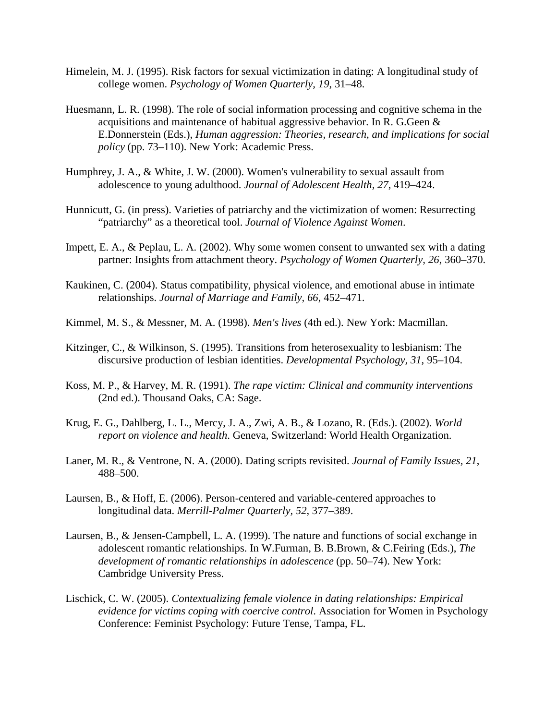- Himelein, M. J. (1995). Risk factors for sexual victimization in dating: A longitudinal study of college women. *Psychology of Women Quarterly, 19*, 31–48.
- Huesmann, L. R. (1998). The role of social information processing and cognitive schema in the acquisitions and maintenance of habitual aggressive behavior. In R. G.Geen & E.Donnerstein (Eds.), *Human aggression: Theories, research, and implications for social policy* (pp. 73–110). New York: Academic Press.
- Humphrey, J. A., & White, J. W. (2000). Women's vulnerability to sexual assault from adolescence to young adulthood. *Journal of Adolescent Health, 27*, 419–424.
- Hunnicutt, G. (in press). Varieties of patriarchy and the victimization of women: Resurrecting "patriarchy" as a theoretical tool. *Journal of Violence Against Women*.
- Impett, E. A., & Peplau, L. A. (2002). Why some women consent to unwanted sex with a dating partner: Insights from attachment theory. *Psychology of Women Quarterly, 26*, 360–370.
- Kaukinen, C. (2004). Status compatibility, physical violence, and emotional abuse in intimate relationships. *Journal of Marriage and Family, 66*, 452–471.
- Kimmel, M. S., & Messner, M. A. (1998). *Men's lives* (4th ed.). New York: Macmillan.
- Kitzinger, C., & Wilkinson, S. (1995). Transitions from heterosexuality to lesbianism: The discursive production of lesbian identities. *Developmental Psychology, 31*, 95–104.
- Koss, M. P., & Harvey, M. R. (1991). *The rape victim: Clinical and community interventions* (2nd ed.). Thousand Oaks, CA: Sage.
- Krug, E. G., Dahlberg, L. L., Mercy, J. A., Zwi, A. B., & Lozano, R. (Eds.). (2002). *World report on violence and health*. Geneva, Switzerland: World Health Organization.
- Laner, M. R., & Ventrone, N. A. (2000). Dating scripts revisited. *Journal of Family Issues, 21*, 488–500.
- Laursen, B., & Hoff, E. (2006). Person-centered and variable-centered approaches to longitudinal data. *Merrill-Palmer Quarterly, 52*, 377–389.
- Laursen, B., & Jensen-Campbell, L. A. (1999). The nature and functions of social exchange in adolescent romantic relationships. In W.Furman, B. B.Brown, & C.Feiring (Eds.), *The development of romantic relationships in adolescence* (pp. 50–74). New York: Cambridge University Press.
- Lischick, C. W. (2005). *Contextualizing female violence in dating relationships: Empirical evidence for victims coping with coercive control*. Association for Women in Psychology Conference: Feminist Psychology: Future Tense, Tampa, FL.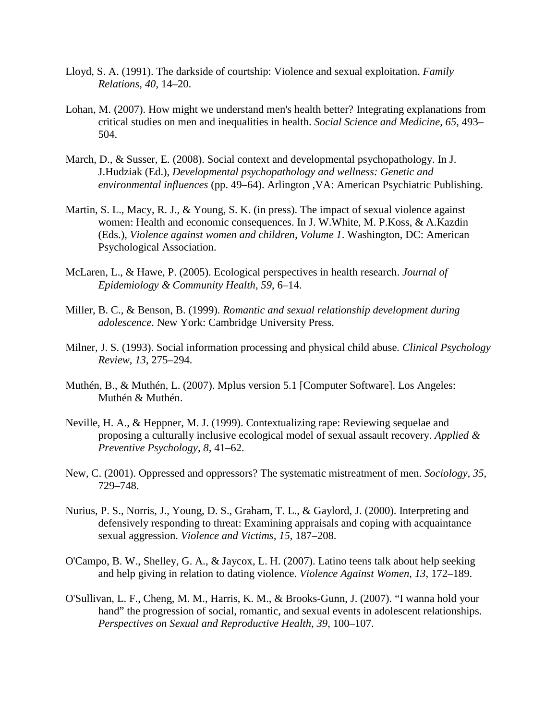- Lloyd, S. A. (1991). The darkside of courtship: Violence and sexual exploitation. *Family Relations, 40*, 14–20.
- Lohan, M. (2007). How might we understand men's health better? Integrating explanations from critical studies on men and inequalities in health. *Social Science and Medicine, 65*, 493– 504.
- March, D., & Susser, E. (2008). Social context and developmental psychopathology. In J. J.Hudziak (Ed.), *Developmental psychopathology and wellness: Genetic and environmental influences* (pp. 49–64). Arlington ,VA: American Psychiatric Publishing.
- Martin, S. L., Macy, R. J., & Young, S. K. (in press). The impact of sexual violence against women: Health and economic consequences. In J. W.White, M. P.Koss, & A.Kazdin (Eds.), *Violence against women and children, Volume 1*. Washington, DC: American Psychological Association.
- McLaren, L., & Hawe, P. (2005). Ecological perspectives in health research. *Journal of Epidemiology & Community Health, 59*, 6–14.
- Miller, B. C., & Benson, B. (1999). *Romantic and sexual relationship development during adolescence*. New York: Cambridge University Press.
- Milner, J. S. (1993). Social information processing and physical child abuse*. Clinical Psychology Review, 13*, 275–294.
- Muthén, B., & Muthén, L. (2007). Mplus version 5.1 [Computer Software]. Los Angeles: Muthén & Muthén.
- Neville, H. A., & Heppner, M. J. (1999). Contextualizing rape: Reviewing sequelae and proposing a culturally inclusive ecological model of sexual assault recovery. *Applied & Preventive Psychology, 8*, 41–62.
- New, C. (2001). Oppressed and oppressors? The systematic mistreatment of men. *Sociology, 35*, 729–748.
- Nurius, P. S., Norris, J., Young, D. S., Graham, T. L., & Gaylord, J. (2000). Interpreting and defensively responding to threat: Examining appraisals and coping with acquaintance sexual aggression. *Violence and Victims, 15*, 187–208.
- O'Campo, B. W., Shelley, G. A., & Jaycox, L. H. (2007). Latino teens talk about help seeking and help giving in relation to dating violence. *Violence Against Women, 13*, 172–189.
- O'Sullivan, L. F., Cheng, M. M., Harris, K. M., & Brooks-Gunn, J. (2007). "I wanna hold your hand" the progression of social, romantic, and sexual events in adolescent relationships. *Perspectives on Sexual and Reproductive Health, 39*, 100–107.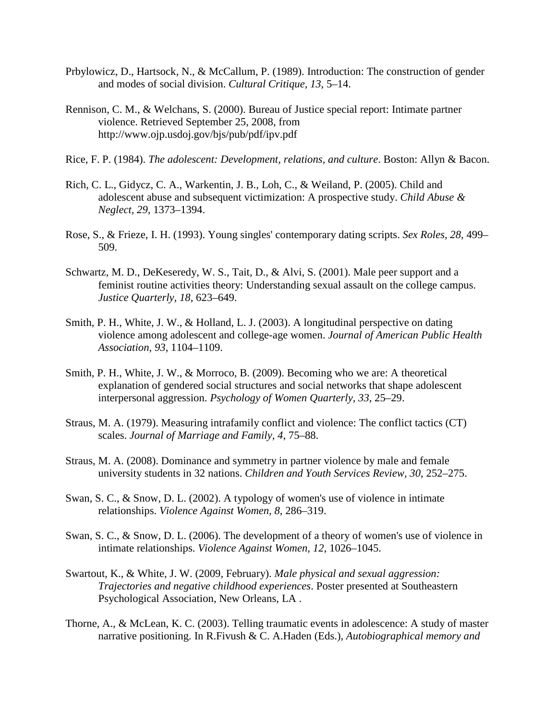- Prbylowicz, D., Hartsock, N., & McCallum, P. (1989). Introduction: The construction of gender and modes of social division. *Cultural Critique, 13*, 5–14.
- Rennison, C. M., & Welchans, S. (2000). Bureau of Justice special report: Intimate partner violence. Retrieved September 25, 2008, from http://www.ojp.usdoj.gov/bjs/pub/pdf/ipv.pdf
- Rice, F. P. (1984). *The adolescent: Development, relations, and culture*. Boston: Allyn & Bacon.
- Rich, C. L., Gidycz, C. A., Warkentin, J. B., Loh, C., & Weiland, P. (2005). Child and adolescent abuse and subsequent victimization: A prospective study. *Child Abuse & Neglect, 29*, 1373–1394.
- Rose, S., & Frieze, I. H. (1993). Young singles' contemporary dating scripts. *Sex Roles, 28*, 499– 509.
- Schwartz, M. D., DeKeseredy, W. S., Tait, D., & Alvi, S. (2001). Male peer support and a feminist routine activities theory: Understanding sexual assault on the college campus. *Justice Quarterly, 18*, 623–649.
- Smith, P. H., White, J. W., & Holland, L. J. (2003). A longitudinal perspective on dating violence among adolescent and college-age women. *Journal of American Public Health Association, 93*, 1104–1109.
- Smith, P. H., White, J. W., & Morroco, B. (2009). Becoming who we are: A theoretical explanation of gendered social structures and social networks that shape adolescent interpersonal aggression. *Psychology of Women Quarterly, 33*, 25–29.
- Straus, M. A. (1979). Measuring intrafamily conflict and violence: The conflict tactics (CT) scales. *Journal of Marriage and Family, 4*, 75–88.
- Straus, M. A. (2008). Dominance and symmetry in partner violence by male and female university students in 32 nations. *Children and Youth Services Review, 30*, 252–275.
- Swan, S. C., & Snow, D. L. (2002). A typology of women's use of violence in intimate relationships. *Violence Against Women, 8*, 286–319.
- Swan, S. C., & Snow, D. L. (2006). The development of a theory of women's use of violence in intimate relationships. *Violence Against Women, 12*, 1026–1045.
- Swartout, K., & White, J. W. (2009, February). *Male physical and sexual aggression: Trajectories and negative childhood experiences*. Poster presented at Southeastern Psychological Association, New Orleans, LA .
- Thorne, A., & McLean, K. C. (2003). Telling traumatic events in adolescence: A study of master narrative positioning. In R.Fivush & C. A.Haden (Eds.), *Autobiographical memory and*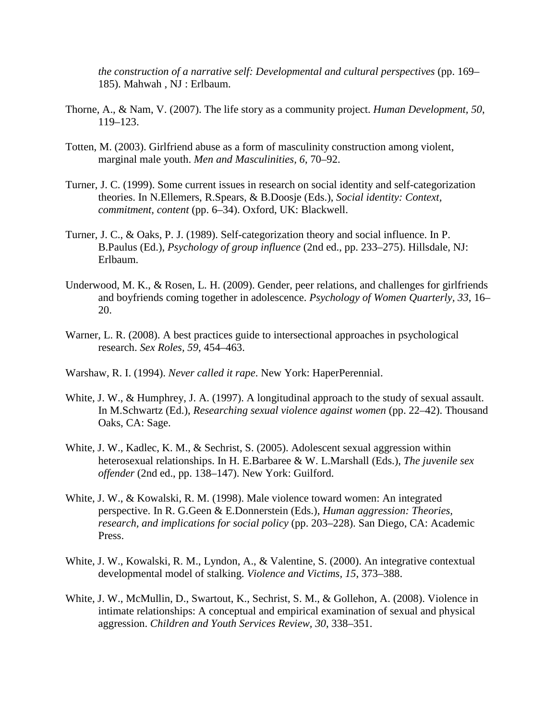*the construction of a narrative self: Developmental and cultural perspectives* (pp. 169– 185). Mahwah , NJ : Erlbaum.

- Thorne, A., & Nam, V. (2007). The life story as a community project. *Human Development, 50*, 119–123.
- Totten, M. (2003). Girlfriend abuse as a form of masculinity construction among violent, marginal male youth. *Men and Masculinities, 6*, 70–92.
- Turner, J. C. (1999). Some current issues in research on social identity and self-categorization theories. In N.Ellemers, R.Spears, & B.Doosje (Eds.), *Social identity: Context, commitment, content* (pp. 6–34). Oxford, UK: Blackwell.
- Turner, J. C., & Oaks, P. J. (1989). Self-categorization theory and social influence. In P. B.Paulus (Ed.), *Psychology of group influence* (2nd ed., pp. 233–275). Hillsdale, NJ: Erlbaum.
- Underwood, M. K., & Rosen, L. H. (2009). Gender, peer relations, and challenges for girlfriends and boyfriends coming together in adolescence. *Psychology of Women Quarterly, 33*, 16– 20.
- Warner, L. R. (2008). A best practices guide to intersectional approaches in psychological research. *Sex Roles, 59*, 454–463.
- Warshaw, R. I. (1994). *Never called it rape*. New York: HaperPerennial.
- White, J. W., & Humphrey, J. A. (1997). A longitudinal approach to the study of sexual assault. In M.Schwartz (Ed.), *Researching sexual violence against women* (pp. 22–42). Thousand Oaks, CA: Sage.
- White, J. W., Kadlec, K. M., & Sechrist, S. (2005). Adolescent sexual aggression within heterosexual relationships. In H. E.Barbaree & W. L.Marshall (Eds.), *The juvenile sex offender* (2nd ed., pp. 138–147). New York: Guilford.
- White, J. W., & Kowalski, R. M. (1998). Male violence toward women: An integrated perspective. In R. G.Geen & E.Donnerstein (Eds.), *Human aggression: Theories, research, and implications for social policy* (pp. 203–228). San Diego, CA: Academic Press.
- White, J. W., Kowalski, R. M., Lyndon, A., & Valentine, S. (2000). An integrative contextual developmental model of stalking. *Violence and Victims, 15*, 373–388.
- White, J. W., McMullin, D., Swartout, K., Sechrist, S. M., & Gollehon, A. (2008). Violence in intimate relationships: A conceptual and empirical examination of sexual and physical aggression. *Children and Youth Services Review, 30*, 338–351.